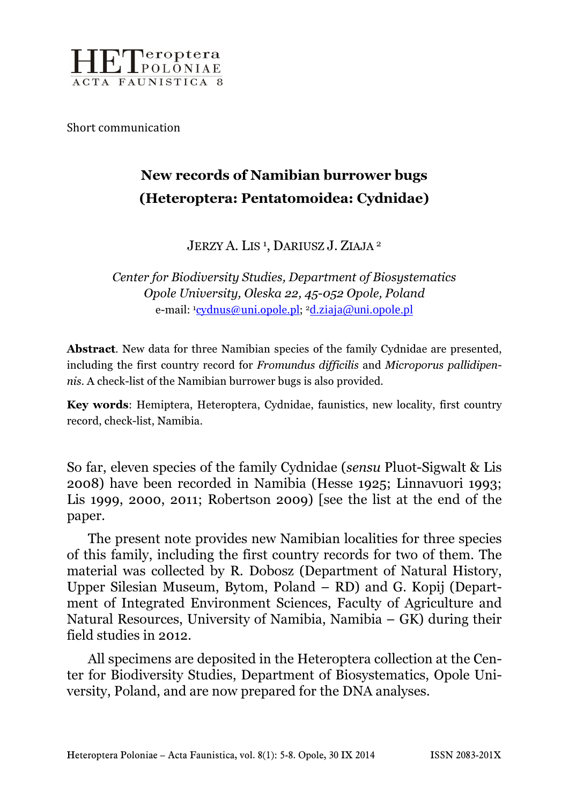

Short communication

# New records of Namibian burrower bugs (Heteroptera: Pentatomoidea: Cydnidae)

JERZY A. LIS<sup>1</sup>, DARIUSZ J. ZIAJA<sup>2</sup>

Center for Biodiversity Studies, Department of Biosystematics Opole University, Oleska 22, 45-052 Opole, Poland e-mail: <sup>1</sup>cydnus@uni.opole.pl; <sup>2</sup>d.ziaja@uni.opole.pl

Abstract. New data for three Namibian species of the family Cydnidae are presented, including the first country record for Fromundus difficilis and Microporus pallidipennis. A check-list of the Namibian burrower bugs is also provided.

Key words: Hemiptera, Heteroptera, Cydnidae, faunistics, new locality, first country record, check-list, Namibia.

So far, eleven species of the family Cydnidae (sensu Pluot-Sigwalt & Lis 2008) have been recorded in Namibia (Hesse 1925; Linnavuori 1993; Lis 1999, 2000, 2011; Robertson 2009) [see the list at the end of the paper.

The present note provides new Namibian localities for three species of this family, including the first country records for two of them. The material was collected by R. Dobosz (Department of Natural History, Upper Silesian Museum, Bytom, Poland – RD) and G. Kopij (Department of Integrated Environment Sciences, Faculty of Agriculture and Natural Resources, University of Namibia, Namibia – GK) during their field studies in 2012.

All specimens are deposited in the Heteroptera collection at the Center for Biodiversity Studies, Department of Biosystematics, Opole University, Poland, and are now prepared for the DNA analyses.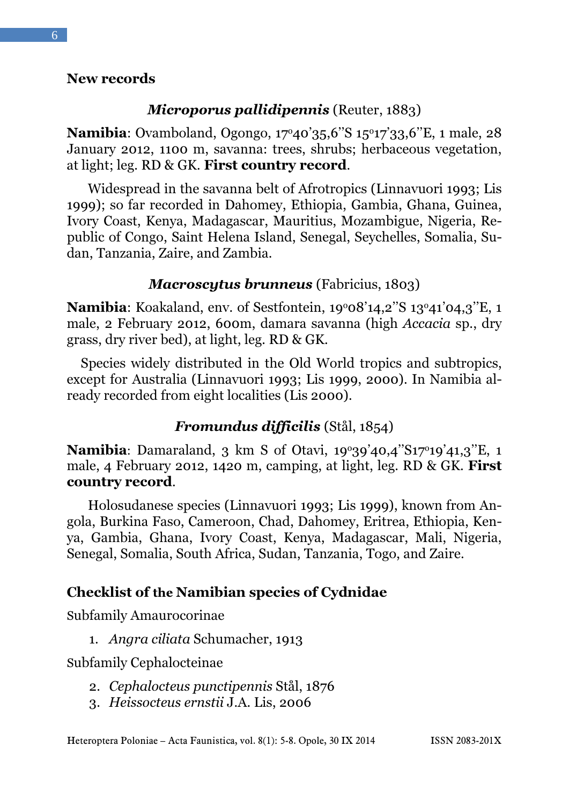### New records

## Microporus pallidipennis (Reuter, 1883)

Namibia: Ovamboland, Ogongo, 17º40'35,6"S 15º17'33,6"E, 1 male, 28 January 2012, 1100 m, savanna: trees, shrubs; herbaceous vegetation, at light; leg. RD & GK. First country record.

Widespread in the savanna belt of Afrotropics (Linnavuori 1993; Lis 1999); so far recorded in Dahomey, Ethiopia, Gambia, Ghana, Guinea, Ivory Coast, Kenya, Madagascar, Mauritius, Mozambigue, Nigeria, Republic of Congo, Saint Helena Island, Senegal, Seychelles, Somalia, Sudan, Tanzania, Zaire, and Zambia.

## Macroscytus brunneus (Fabricius, 1803)

**Namibia**: Koakaland, env. of Sestfontein,  $19^{\circ}08'14,2''S\ 13^{\circ}41'04,3''E$ , 1 male, 2 February 2012, 600m, damara savanna (high Accacia sp., dry grass, dry river bed), at light, leg. RD & GK.

 Species widely distributed in the Old World tropics and subtropics, except for Australia (Linnavuori 1993; Lis 1999, 2000). In Namibia already recorded from eight localities (Lis 2000).

# Fromundus difficilis (Stål, 1854)

Namibia: Damaraland, 3 km S of Otavi, 19°39'40,4"S17°19'41,3"E, 1 male, 4 February 2012, 1420 m, camping, at light, leg. RD & GK. First country record.

Holosudanese species (Linnavuori 1993; Lis 1999), known from Angola, Burkina Faso, Cameroon, Chad, Dahomey, Eritrea, Ethiopia, Kenya, Gambia, Ghana, Ivory Coast, Kenya, Madagascar, Mali, Nigeria, Senegal, Somalia, South Africa, Sudan, Tanzania, Togo, and Zaire.

## Checklist of the Namibian species of Cydnidae

Subfamily Amaurocorinae

1. Angra ciliata Schumacher, 1913

Subfamily Cephalocteinae

- 2. Cephalocteus punctipennis Stål, 1876
- 3. Heissocteus ernstii J.A. Lis, 2006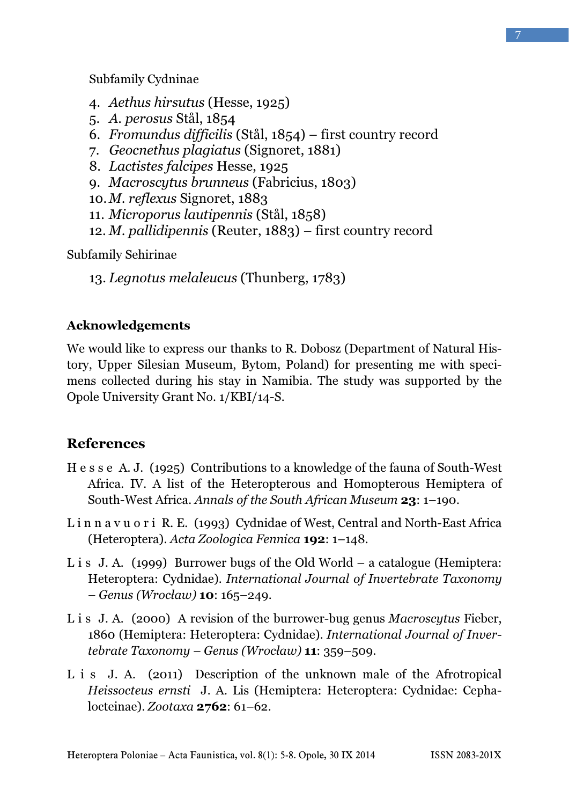- 4. Aethus hirsutus (Hesse, 1925)
- 5. A. perosus Stål, 1854
- 6. Fromundus difficilis (Stål, 1854) first country record
- 7. Geocnethus plagiatus (Signoret, 1881)
- 8. Lactistes falcipes Hesse, 1925
- 9. Macroscytus brunneus (Fabricius, 1803)
- 10.M. reflexus Signoret, 1883
- 11. Microporus lautipennis (Stål, 1858)
- 12. *M. pallidipennis* (Reuter,  $1883$ ) first country record

Subfamily Sehirinae

13. Legnotus melaleucus (Thunberg, 1783)

#### Acknowledgements

We would like to express our thanks to R. Dobosz (Department of Natural History, Upper Silesian Museum, Bytom, Poland) for presenting me with specimens collected during his stay in Namibia. The study was supported by the Opole University Grant No. 1/KBI/14-S.

## **References**

- H e s s e A. J. (1925) Contributions to a knowledge of the fauna of South-West Africa. IV. A list of the Heteropterous and Homopterous Hemiptera of South-West Africa. Annals of the South African Museum 23: 1–190.
- L i n n a v u o r i R. E. (1993) Cydnidae of West, Central and North-East Africa (Heteroptera). Acta Zoologica Fennica 192: 1–148.
- L i s J. A. (1999) Burrower bugs of the Old World a catalogue (Hemiptera: Heteroptera: Cydnidae). International Journal of Invertebrate Taxonomy – Genus (Wrocław) 10: 165–249.
- L i s J. A. (2000) A revision of the burrower-bug genus Macroscytus Fieber, 1860 (Hemiptera: Heteroptera: Cydnidae). International Journal of Invertebrate Taxonomy – Genus (Wrocław) 11: 359–509.
- L i s J. A. (2011) Description of the unknown male of the Afrotropical Heissocteus ernsti J. A. Lis (Hemiptera: Heteroptera: Cydnidae: Cephalocteinae). Zootaxa 2762: 61–62.